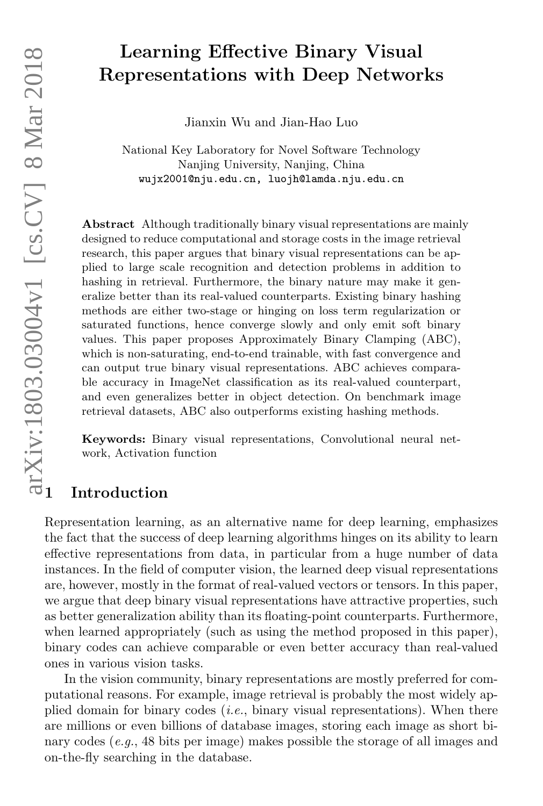# Learning Effective Binary Visual Representations with Deep Networks

Jianxin Wu and Jian-Hao Luo

National Key Laboratory for Novel Software Technology Nanjing University, Nanjing, China wujx2001@nju.edu.cn, luojh@lamda.nju.edu.cn

Abstract Although traditionally binary visual representations are mainly designed to reduce computational and storage costs in the image retrieval research, this paper argues that binary visual representations can be applied to large scale recognition and detection problems in addition to hashing in retrieval. Furthermore, the binary nature may make it generalize better than its real-valued counterparts. Existing binary hashing methods are either two-stage or hinging on loss term regularization or saturated functions, hence converge slowly and only emit soft binary values. This paper proposes Approximately Binary Clamping (ABC), which is non-saturating, end-to-end trainable, with fast convergence and can output true binary visual representations. ABC achieves comparable accuracy in ImageNet classification as its real-valued counterpart, and even generalizes better in object detection. On benchmark image retrieval datasets, ABC also outperforms existing hashing methods. MON Represe<br>
Represe<br>
Represe<br>
Represe<br>
Mational<br>
Wujx2<br>
Mational<br>
Wujx2<br>
National<br>
Wujx2<br>
National<br>
Wujx2<br>
National<br>
wujx2<br>
National<br>
wujx2<br>
National<br>
regined to redue<br>
research, this pa<br>
plied to large se<br>
hashing in ret **Example Enterce Representations**<br>
Mational Key Laboratory<br>
National Key Laboratory<br>
National Key Laboratory<br>
National Key Laboratory<br>
wir and the data computational<br>
designed to reduce computational<br>
research, this paper

Keywords: Binary visual representations, Convolutional neural network, Activation function

Representation learning, as an alternative name for deep learning, emphasizes the fact that the success of deep learning algorithms hinges on its ability to learn effective representations from data, in particular from a huge number of data instances. In the field of computer vision, the learned deep visual representations are, however, mostly in the format of real-valued vectors or tensors. In this paper, we argue that deep binary visual representations have attractive properties, such as better generalization ability than its floating-point counterparts. Furthermore, when learned appropriately (such as using the method proposed in this paper), binary codes can achieve comparable or even better accuracy than real-valued ones in various vision tasks.

In the vision community, binary representations are mostly preferred for computational reasons. For example, image retrieval is probably the most widely applied domain for binary codes  $(i.e.,$  binary visual representations). When there are millions or even billions of database images, storing each image as short binary codes  $(e.g., 48 \text{ bits per image})$  makes possible the storage of all images and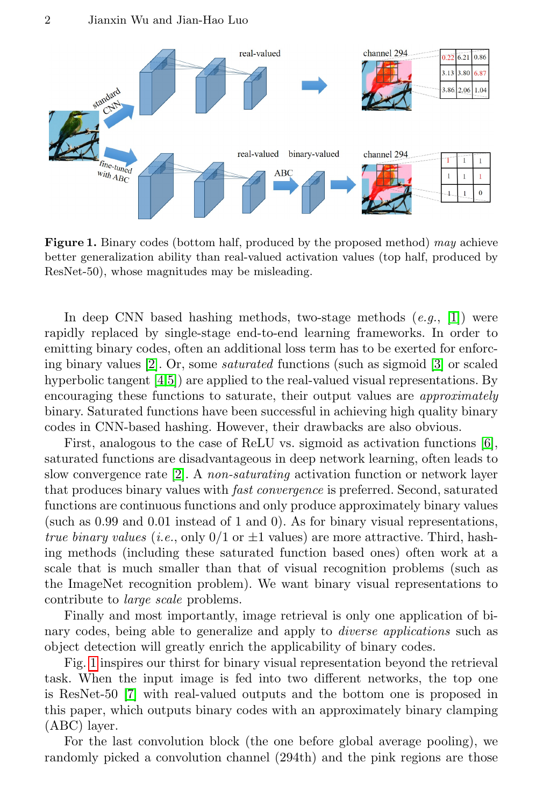

<span id="page-1-0"></span>Figure 1. Binary codes (bottom half, produced by the proposed method) may achieve better generalization ability than real-valued activation values (top half, produced by ResNet-50), whose magnitudes may be misleading.

In deep CNN based hashing methods, two-stage methods  $(e.q., [1])$  $(e.q., [1])$  $(e.q., [1])$  were rapidly replaced by single-stage end-to-end learning frameworks. In order to emitting binary codes, often an additional loss term has to be exerted for enforcing binary values [\[2\]](#page-14-1). Or, some saturated functions (such as sigmoid [\[3\]](#page-14-2) or scaled hyperbolic tangent [\[4,](#page-14-3)[5\]](#page-14-4)) are applied to the real-valued visual representations. By encouraging these functions to saturate, their output values are approximately binary. Saturated functions have been successful in achieving high quality binary codes in CNN-based hashing. However, their drawbacks are also obvious.

First, analogous to the case of ReLU vs. sigmoid as activation functions [\[6\]](#page-14-5), saturated functions are disadvantageous in deep network learning, often leads to slow convergence rate [\[2\]](#page-14-1). A non-saturating activation function or network layer that produces binary values with fast convergence is preferred. Second, saturated functions are continuous functions and only produce approximately binary values (such as 0.99 and 0.01 instead of 1 and 0). As for binary visual representations, true binary values (i.e., only  $0/1$  or  $\pm 1$  values) are more attractive. Third, hashing methods (including these saturated function based ones) often work at a scale that is much smaller than that of visual recognition problems (such as the ImageNet recognition problem). We want binary visual representations to contribute to large scale problems.

Finally and most importantly, image retrieval is only one application of binary codes, being able to generalize and apply to diverse applications such as object detection will greatly enrich the applicability of binary codes.

Fig. [1](#page-1-0) inspires our thirst for binary visual representation beyond the retrieval task. When the input image is fed into two different networks, the top one is ResNet-50 [\[7\]](#page-14-6) with real-valued outputs and the bottom one is proposed in this paper, which outputs binary codes with an approximately binary clamping (ABC) layer.

For the last convolution block (the one before global average pooling), we randomly picked a convolution channel (294th) and the pink regions are those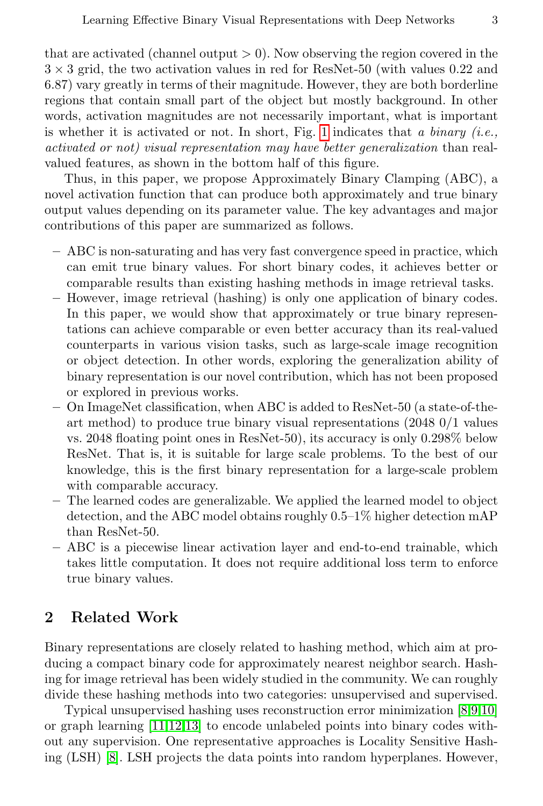that are activated (channel output  $> 0$ ). Now observing the region covered in the  $3 \times 3$  grid, the two activation values in red for ResNet-50 (with values 0.22 and 6.87) vary greatly in terms of their magnitude. However, they are both borderline regions that contain small part of the object but mostly background. In other words, activation magnitudes are not necessarily important, what is important is whether it is activated or not. In short, Fig. [1](#page-1-0) indicates that a binary (i.e., activated or not) visual representation may have better generalization than realvalued features, as shown in the bottom half of this figure.

Thus, in this paper, we propose Approximately Binary Clamping (ABC), a novel activation function that can produce both approximately and true binary output values depending on its parameter value. The key advantages and major contributions of this paper are summarized as follows.

- ABC is non-saturating and has very fast convergence speed in practice, which can emit true binary values. For short binary codes, it achieves better or comparable results than existing hashing methods in image retrieval tasks.
- However, image retrieval (hashing) is only one application of binary codes. In this paper, we would show that approximately or true binary representations can achieve comparable or even better accuracy than its real-valued counterparts in various vision tasks, such as large-scale image recognition or object detection. In other words, exploring the generalization ability of binary representation is our novel contribution, which has not been proposed or explored in previous works.
- On ImageNet classification, when ABC is added to ResNet-50 (a state-of-theart method) to produce true binary visual representations (2048 0/1 values vs. 2048 floating point ones in ResNet-50), its accuracy is only 0.298% below ResNet. That is, it is suitable for large scale problems. To the best of our knowledge, this is the first binary representation for a large-scale problem with comparable accuracy.
- The learned codes are generalizable. We applied the learned model to object detection, and the ABC model obtains roughly 0.5–1% higher detection mAP than ResNet-50.
- ABC is a piecewise linear activation layer and end-to-end trainable, which takes little computation. It does not require additional loss term to enforce true binary values.

## 2 Related Work

Binary representations are closely related to hashing method, which aim at producing a compact binary code for approximately nearest neighbor search. Hashing for image retrieval has been widely studied in the community. We can roughly divide these hashing methods into two categories: unsupervised and supervised.

Typical unsupervised hashing uses reconstruction error minimization [\[8,](#page-14-7)[9,](#page-14-8)[10\]](#page-14-9) or graph learning [\[11,](#page-14-10)[12,](#page-14-11)[13\]](#page-14-12) to encode unlabeled points into binary codes without any supervision. One representative approaches is Locality Sensitive Hashing (LSH) [\[8\]](#page-14-7). LSH projects the data points into random hyperplanes. However,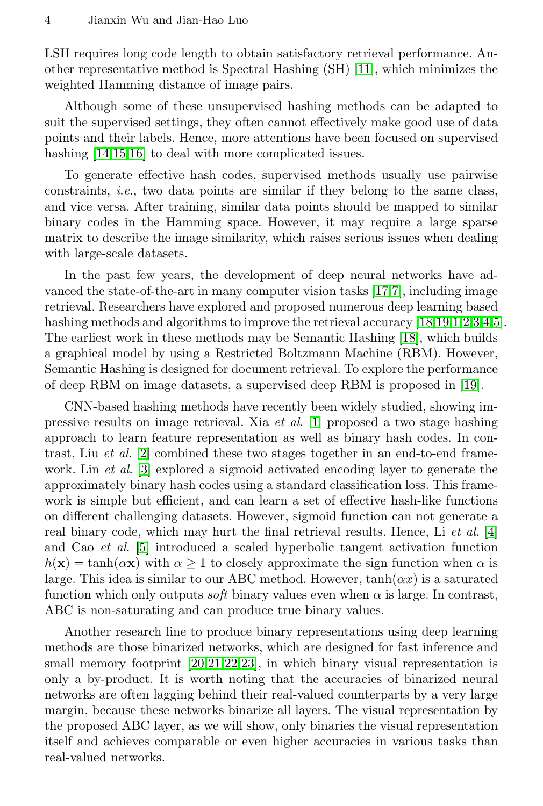LSH requires long code length to obtain satisfactory retrieval performance. Another representative method is Spectral Hashing (SH) [\[11\]](#page-14-10), which minimizes the weighted Hamming distance of image pairs.

Although some of these unsupervised hashing methods can be adapted to suit the supervised settings, they often cannot effectively make good use of data points and their labels. Hence, more attentions have been focused on supervised hashing  $[14,15,16]$  $[14,15,16]$  $[14,15,16]$  to deal with more complicated issues.

To generate effective hash codes, supervised methods usually use pairwise constraints, i.e., two data points are similar if they belong to the same class, and vice versa. After training, similar data points should be mapped to similar binary codes in the Hamming space. However, it may require a large sparse matrix to describe the image similarity, which raises serious issues when dealing with large-scale datasets.

In the past few years, the development of deep neural networks have advanced the state-of-the-art in many computer vision tasks [\[17,](#page-14-16)[7\]](#page-14-6), including image retrieval. Researchers have explored and proposed numerous deep learning based hashing methods and algorithms to improve the retrieval accuracy [\[18,](#page-14-17)[19,](#page-14-18)[1,](#page-14-0)[2,](#page-14-1)[3,](#page-14-2)[4,](#page-14-3)[5\]](#page-14-4). The earliest work in these methods may be Semantic Hashing [\[18\]](#page-14-17), which builds a graphical model by using a Restricted Boltzmann Machine (RBM). However, Semantic Hashing is designed for document retrieval. To explore the performance of deep RBM on image datasets, a supervised deep RBM is proposed in [\[19\]](#page-14-18).

CNN-based hashing methods have recently been widely studied, showing impressive results on image retrieval. Xia et al. [\[1\]](#page-14-0) proposed a two stage hashing approach to learn feature representation as well as binary hash codes. In contrast, Liu et al. [\[2\]](#page-14-1) combined these two stages together in an end-to-end framework. Lin *et al.* [\[3\]](#page-14-2) explored a sigmoid activated encoding layer to generate the approximately binary hash codes using a standard classification loss. This framework is simple but efficient, and can learn a set of effective hash-like functions on different challenging datasets. However, sigmoid function can not generate a real binary code, which may hurt the final retrieval results. Hence, Li et al. [\[4\]](#page-14-3) and Cao et al. [\[5\]](#page-14-4) introduced a scaled hyperbolic tangent activation function  $h(\mathbf{x}) = \tanh(\alpha \mathbf{x})$  with  $\alpha \geq 1$  to closely approximate the sign function when  $\alpha$  is large. This idea is similar to our ABC method. However,  $tanh(\alpha x)$  is a saturated function which only outputs *soft* binary values even when  $\alpha$  is large. In contrast, ABC is non-saturating and can produce true binary values.

Another research line to produce binary representations using deep learning methods are those binarized networks, which are designed for fast inference and small memory footprint  $[20,21,22,23]$  $[20,21,22,23]$  $[20,21,22,23]$  $[20,21,22,23]$ , in which binary visual representation is only a by-product. It is worth noting that the accuracies of binarized neural networks are often lagging behind their real-valued counterparts by a very large margin, because these networks binarize all layers. The visual representation by the proposed ABC layer, as we will show, only binaries the visual representation itself and achieves comparable or even higher accuracies in various tasks than real-valued networks.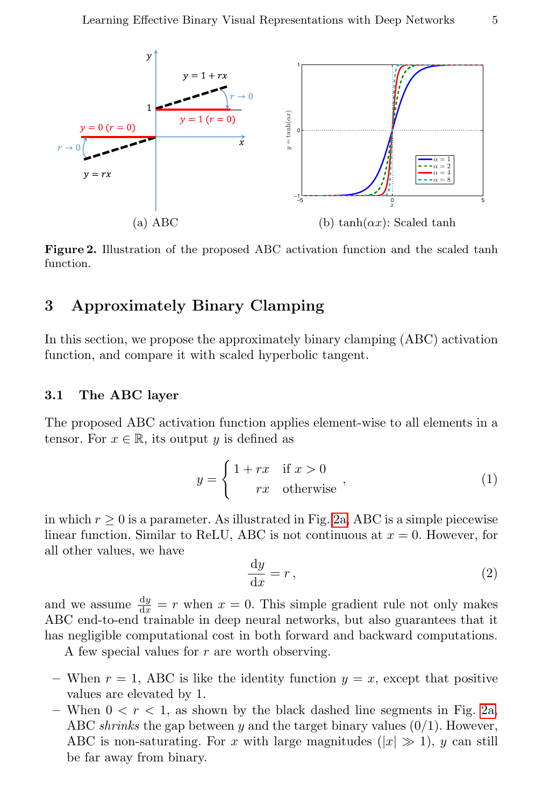<span id="page-4-0"></span>

<span id="page-4-1"></span>Figure 2. Illustration of the proposed ABC activation function and the scaled tanh function.

# 3 Approximately Binary Clamping

In this section, we propose the approximately binary clamping (ABC) activation function, and compare it with scaled hyperbolic tangent.

#### 3.1 The ABC layer

The proposed ABC activation function applies element-wise to all elements in a tensor. For  $x \in \mathbb{R}$ , its output y is defined as

$$
y = \begin{cases} 1 + rx & \text{if } x > 0 \\ rx & \text{otherwise} \end{cases}
$$
 (1)

in which  $r \geq 0$  is a parameter. As illustrated in Fig. [2a,](#page-4-0) ABC is a simple piecewise linear function. Similar to ReLU, ABC is not continuous at  $x = 0$ . However, for all other values, we have

$$
\frac{\mathrm{d}y}{\mathrm{d}x} = r \,,\tag{2}
$$

and we assume  $\frac{dy}{dx} = r$  when  $x = 0$ . This simple gradient rule not only makes ABC end-to-end trainable in deep neural networks, but also guarantees that it has negligible computational cost in both forward and backward computations.

A few special values for  $r$  are worth observing.

- When  $r = 1$ , ABC is like the identity function  $y = x$ , except that positive values are elevated by 1.
- When  $0 < r < 1$ , as shown by the black dashed line segments in Fig. [2a,](#page-4-0) ABC shrinks the gap between y and the target binary values  $(0/1)$ . However, ABC is non-saturating. For x with large magnitudes  $(|x| \gg 1)$ , y can still be far away from binary.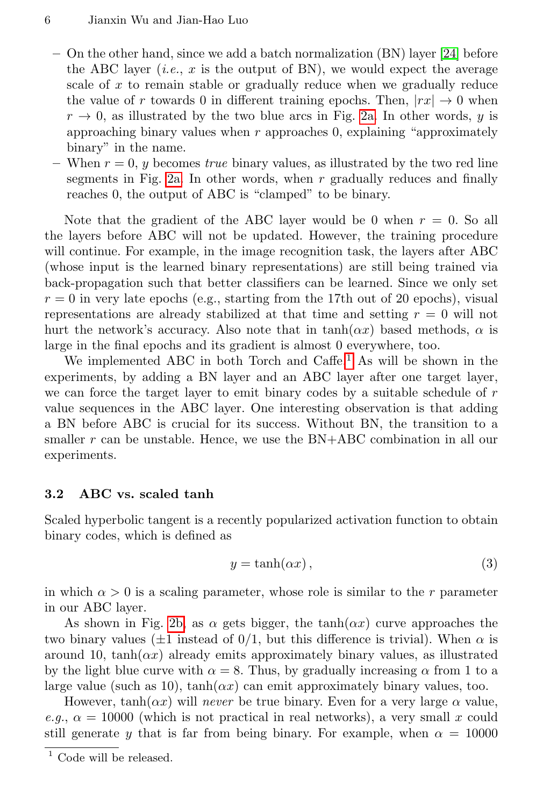- On the other hand, since we add a batch normalization (BN) layer [\[24\]](#page-14-23) before the ABC layer (*i.e.*,  $x$  is the output of BN), we would expect the average scale of x to remain stable or gradually reduce when we gradually reduce the value of r towards 0 in different training epochs. Then,  $|rx| \rightarrow 0$  when  $r \rightarrow 0$ , as illustrated by the two blue arcs in Fig. [2a.](#page-4-0) In other words, y is approaching binary values when  $r$  approaches 0, explaining "approximately binary" in the name.
- When  $r = 0$ , y becomes true binary values, as illustrated by the two red line segments in Fig. [2a.](#page-4-0) In other words, when r gradually reduces and finally reaches 0, the output of ABC is "clamped" to be binary.

Note that the gradient of the ABC layer would be 0 when  $r = 0$ . So all the layers before ABC will not be updated. However, the training procedure will continue. For example, in the image recognition task, the layers after ABC (whose input is the learned binary representations) are still being trained via back-propagation such that better classifiers can be learned. Since we only set  $r = 0$  in very late epochs (e.g., starting from the 17th out of 20 epochs), visual representations are already stabilized at that time and setting  $r = 0$  will not hurt the network's accuracy. Also note that in  $tanh(\alpha x)$  based methods,  $\alpha$  is large in the final epochs and its gradient is almost 0 everywhere, too.

We implemented ABC in both Torch and Caffe.<sup>[1](#page-5-0)</sup> As will be shown in the experiments, by adding a BN layer and an ABC layer after one target layer, we can force the target layer to emit binary codes by a suitable schedule of  $r$ value sequences in the ABC layer. One interesting observation is that adding a BN before ABC is crucial for its success. Without BN, the transition to a smaller  $r$  can be unstable. Hence, we use the  $BN+ABC$  combination in all our experiments.

### 3.2 ABC vs. scaled tanh

Scaled hyperbolic tangent is a recently popularized activation function to obtain binary codes, which is defined as

$$
y = \tanh(\alpha x),\tag{3}
$$

in which  $\alpha > 0$  is a scaling parameter, whose role is similar to the r parameter in our ABC layer.

As shown in Fig. [2b,](#page-4-1) as  $\alpha$  gets bigger, the tanh( $\alpha x$ ) curve approaches the two binary values ( $\pm 1$  instead of 0/1, but this difference is trivial). When  $\alpha$  is around 10,  $tanh(\alpha x)$  already emits approximately binary values, as illustrated by the light blue curve with  $\alpha = 8$ . Thus, by gradually increasing  $\alpha$  from 1 to a large value (such as 10),  $\tanh(\alpha x)$  can emit approximately binary values, too.

However,  $tanh(\alpha x)$  will never be true binary. Even for a very large  $\alpha$  value, e.g.,  $\alpha = 10000$  (which is not practical in real networks), a very small x could still generate y that is far from being binary. For example, when  $\alpha = 10000$ 

<span id="page-5-0"></span> $^{\rm 1}$  Code will be released.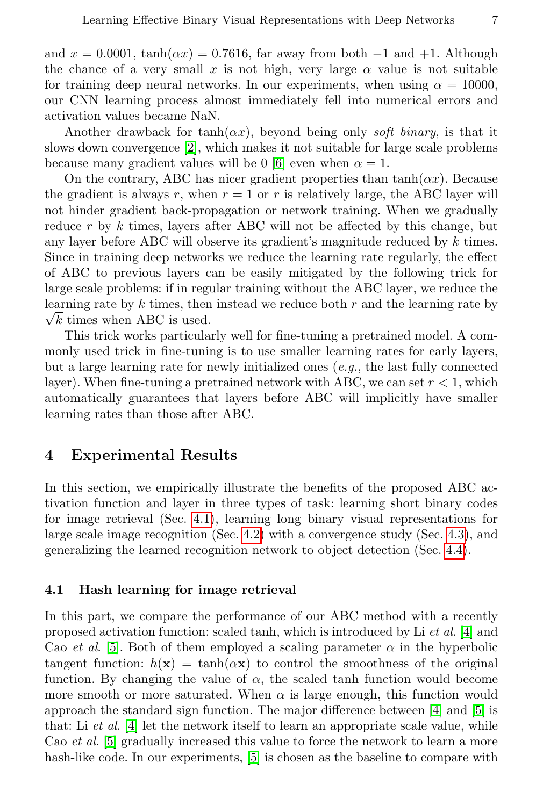and  $x = 0.0001$ ,  $tanh(\alpha x) = 0.7616$ , far away from both  $-1$  and  $+1$ . Although the chance of a very small x is not high, very large  $\alpha$  value is not suitable for training deep neural networks. In our experiments, when using  $\alpha = 10000$ , our CNN learning process almost immediately fell into numerical errors and activation values became NaN.

Another drawback for tanh( $\alpha x$ ), beyond being only soft binary, is that it slows down convergence [\[2\]](#page-14-1), which makes it not suitable for large scale problems because many gradient values will be 0 [\[6\]](#page-14-5) even when  $\alpha = 1$ .

On the contrary, ABC has nicer gradient properties than  $\tanh(\alpha x)$ . Because the gradient is always r, when  $r = 1$  or r is relatively large, the ABC layer will not hinder gradient back-propagation or network training. When we gradually reduce  $r$  by  $k$  times, layers after ABC will not be affected by this change, but any layer before ABC will observe its gradient's magnitude reduced by  $k$  times. Since in training deep networks we reduce the learning rate regularly, the effect of ABC to previous layers can be easily mitigated by the following trick for large scale problems: if in regular training without the ABC layer, we reduce the learning rate by  $k$  times, then instead we reduce both  $r$  and the learning rate by  $\sqrt{k}$  times when ABC is used.

This trick works particularly well for fine-tuning a pretrained model. A commonly used trick in fine-tuning is to use smaller learning rates for early layers, but a large learning rate for newly initialized ones  $(e.g., the last fully connected$ layer). When fine-tuning a pretrained network with ABC, we can set  $r < 1$ , which automatically guarantees that layers before ABC will implicitly have smaller learning rates than those after ABC.

### 4 Experimental Results

In this section, we empirically illustrate the benefits of the proposed ABC activation function and layer in three types of task: learning short binary codes for image retrieval (Sec. [4.1\)](#page-6-0), learning long binary visual representations for large scale image recognition (Sec. [4.2\)](#page-9-0) with a convergence study (Sec. [4.3\)](#page-11-0), and generalizing the learned recognition network to object detection (Sec. [4.4\)](#page-12-0).

#### <span id="page-6-0"></span>4.1 Hash learning for image retrieval

In this part, we compare the performance of our ABC method with a recently proposed activation function: scaled tanh, which is introduced by Li et al. [\[4\]](#page-14-3) and Cao et al. [\[5\]](#page-14-4). Both of them employed a scaling parameter  $\alpha$  in the hyperbolic tangent function:  $h(\mathbf{x}) = \tanh(\alpha \mathbf{x})$  to control the smoothness of the original function. By changing the value of  $\alpha$ , the scaled tanh function would become more smooth or more saturated. When  $\alpha$  is large enough, this function would approach the standard sign function. The major difference between [\[4\]](#page-14-3) and [\[5\]](#page-14-4) is that: Li  $et \ al.$  [\[4\]](#page-14-3) let the network itself to learn an appropriate scale value, while Cao *et al.* [\[5\]](#page-14-4) gradually increased this value to force the network to learn a more hash-like code. In our experiments, [\[5\]](#page-14-4) is chosen as the baseline to compare with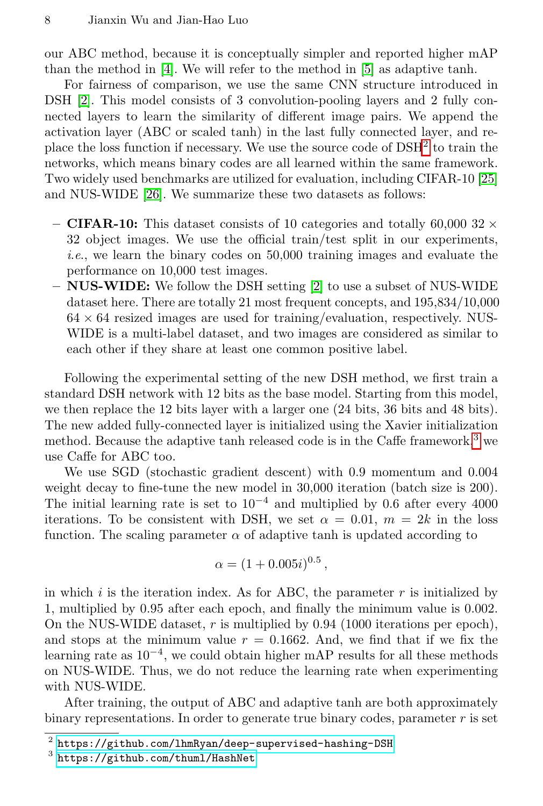our ABC method, because it is conceptually simpler and reported higher mAP than the method in [\[4\]](#page-14-3). We will refer to the method in [\[5\]](#page-14-4) as adaptive tanh.

For fairness of comparison, we use the same CNN structure introduced in DSH [\[2\]](#page-14-1). This model consists of 3 convolution-pooling layers and 2 fully connected layers to learn the similarity of different image pairs. We append the activation layer (ABC or scaled tanh) in the last fully connected layer, and replace the loss function if necessary. We use the source code of  $DSH<sup>2</sup>$  $DSH<sup>2</sup>$  $DSH<sup>2</sup>$  to train the networks, which means binary codes are all learned within the same framework. Two widely used benchmarks are utilized for evaluation, including CIFAR-10 [\[25\]](#page-14-24) and NUS-WIDE [\[26\]](#page-15-0). We summarize these two datasets as follows:

- CIFAR-10: This dataset consists of 10 categories and totally 60,000 32  $\times$ 32 object images. We use the official train/test split in our experiments, i.e., we learn the binary codes on 50,000 training images and evaluate the performance on 10,000 test images.
- NUS-WIDE: We follow the DSH setting [\[2\]](#page-14-1) to use a subset of NUS-WIDE dataset here. There are totally 21 most frequent concepts, and 195,834/10,000  $64 \times 64$  resized images are used for training/evaluation, respectively. NUS-WIDE is a multi-label dataset, and two images are considered as similar to each other if they share at least one common positive label.

Following the experimental setting of the new DSH method, we first train a standard DSH network with 12 bits as the base model. Starting from this model, we then replace the 12 bits layer with a larger one (24 bits, 36 bits and 48 bits). The new added fully-connected layer is initialized using the Xavier initialization method. Because the adaptive tanh released code is in the Caffe framework,<sup>[3](#page-7-1)</sup> we use Caffe for ABC too.

We use SGD (stochastic gradient descent) with 0.9 momentum and 0.004 weight decay to fine-tune the new model in 30,000 iteration (batch size is 200). The initial learning rate is set to  $10^{-4}$  and multiplied by 0.6 after every 4000 iterations. To be consistent with DSH, we set  $\alpha = 0.01$ ,  $m = 2k$  in the loss function. The scaling parameter  $\alpha$  of adaptive tanh is updated according to

$$
\alpha = (1 + 0.005i)^{0.5},
$$

in which  $i$  is the iteration index. As for ABC, the parameter  $r$  is initialized by 1, multiplied by 0.95 after each epoch, and finally the minimum value is 0.002. On the NUS-WIDE dataset,  $r$  is multiplied by 0.94 (1000 iterations per epoch), and stops at the minimum value  $r = 0.1662$ . And, we find that if we fix the learning rate as  $10^{-4}$ , we could obtain higher mAP results for all these methods on NUS-WIDE. Thus, we do not reduce the learning rate when experimenting with NUS-WIDE.

After training, the output of ABC and adaptive tanh are both approximately binary representations. In order to generate true binary codes, parameter  $r$  is set

<span id="page-7-0"></span> $^{\rm 2}$  <https://github.com/lhmRyan/deep-supervised-hashing-DSH>

<span id="page-7-1"></span> $^3$  <https://github.com/thuml/HashNet>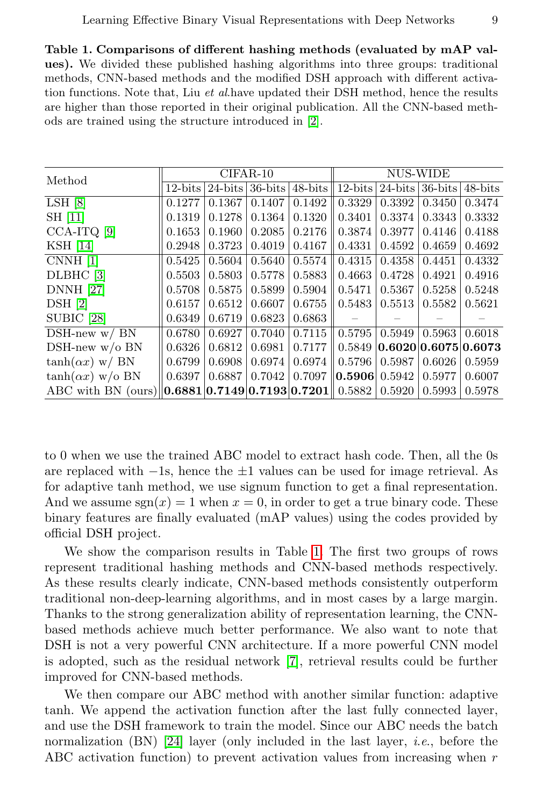<span id="page-8-0"></span>Table 1. Comparisons of different hashing methods (evaluated by mAP values). We divided these published hashing algorithms into three groups: traditional methods, CNN-based methods and the modified DSH approach with different activation functions. Note that, Liu *et al.have updated their DSH method, hence the results* are higher than those reported in their original publication. All the CNN-based methods are trained using the structure introduced in [\[2\]](#page-14-1).

| Method                                              | $CIFAR-10$ |            |            |         | NUS-WIDE                    |                      |            |         |
|-----------------------------------------------------|------------|------------|------------|---------|-----------------------------|----------------------|------------|---------|
|                                                     | $12$ -bits | $24$ -bits | $36$ -bits | 48-bits | $12 - bits$                 | $24$ -bits           | $36$ -bits | 48-bits |
| LSH [8]                                             | 0.1277     | 0.1367     | 0.1407     | 0.1492  | 0.3329                      | 0.3392               | 0.3450     | 0.3474  |
| SH [11]                                             | 0.1319     | 0.1278     | 0.1364     | 0.1320  | 0.3401                      | 0.3374               | 0.3343     | 0.3332  |
| $CCA-ITQ$ [9]                                       | 0.1653     | 0.1960     | 0.2085     | 0.2176  | 0.3874                      | 0.3977               | 0.4146     | 0.4188  |
| <b>KSH</b> [14]                                     | 0.2948     | 0.3723     | 0.4019     | 0.4167  | 0.4331                      | 0.4592               | 0.4659     | 0.4692  |
| CNNH [1]                                            | 0.5425     | 0.5604     | 0.5640     | 0.5574  | 0.4315                      | 0.4358               | 0.4451     | 0.4332  |
| DLBHC [3]                                           | 0.5503     | 0.5803     | 0.5778     | 0.5883  | 0.4663                      | 0.4728               | 0.4921     | 0.4916  |
| <b>DNNH</b> [27]                                    | 0.5708     | 0.5875     | 0.5899     | 0.5904  | 0.5471                      | 0.5367               | 0.5258     | 0.5248  |
| DSH [2]                                             | 0.6157     | 0.6512     | 0.6607     | 0.6755  | 0.5483                      | 0.5513               | 0.5582     | 0.5621  |
| SUBIC [28]                                          | 0.6349     | 0.6719     | 0.6823     | 0.6863  |                             |                      |            |         |
| $DSH-new w / BN$                                    | 0.6780     | 0.6927     | 0.7040     | 0.7115  | 0.5795                      | 0.5949               | 0.5963     | 0.6018  |
| $DSH-new w/o BN$                                    | 0.6326     | 0.6812     | 0.6981     | 0.7177  | 0.5849                      | 0.6020 0.6075 0.6073 |            |         |
| $tanh(\alpha x)$ w/ BN                              | 0.6799     | 0.6908     | 0.6974     | 0.6974  | 0.5796                      | 0.5987               | 0.6026     | 0.5959  |
| $\tanh(\alpha x)$ w/o BN                            | 0.6397     | 0.6887     | 0.7042     |         | $0.7097$   0.5906  $0.5942$ |                      | 0.5977     | 0.6007  |
| ABC with BN (ours) $  0.6881 0.7149 0.7193 0.7201 $ |            |            |            |         | 0.5882                      | 0.5920               | 0.5993     | 0.5978  |

to 0 when we use the trained ABC model to extract hash code. Then, all the 0s are replaced with  $-1$ s, hence the  $\pm 1$  values can be used for image retrieval. As for adaptive tanh method, we use signum function to get a final representation. And we assume  $sgn(x) = 1$  when  $x = 0$ , in order to get a true binary code. These binary features are finally evaluated (mAP values) using the codes provided by official DSH project.

We show the comparison results in Table [1.](#page-8-0) The first two groups of rows represent traditional hashing methods and CNN-based methods respectively. As these results clearly indicate, CNN-based methods consistently outperform traditional non-deep-learning algorithms, and in most cases by a large margin. Thanks to the strong generalization ability of representation learning, the CNNbased methods achieve much better performance. We also want to note that DSH is not a very powerful CNN architecture. If a more powerful CNN model is adopted, such as the residual network [\[7\]](#page-14-6), retrieval results could be further improved for CNN-based methods.

We then compare our ABC method with another similar function: adaptive tanh. We append the activation function after the last fully connected layer, and use the DSH framework to train the model. Since our ABC needs the batch normalization (BN) [\[24\]](#page-14-23) layer (only included in the last layer, i.e., before the ABC activation function) to prevent activation values from increasing when  $r$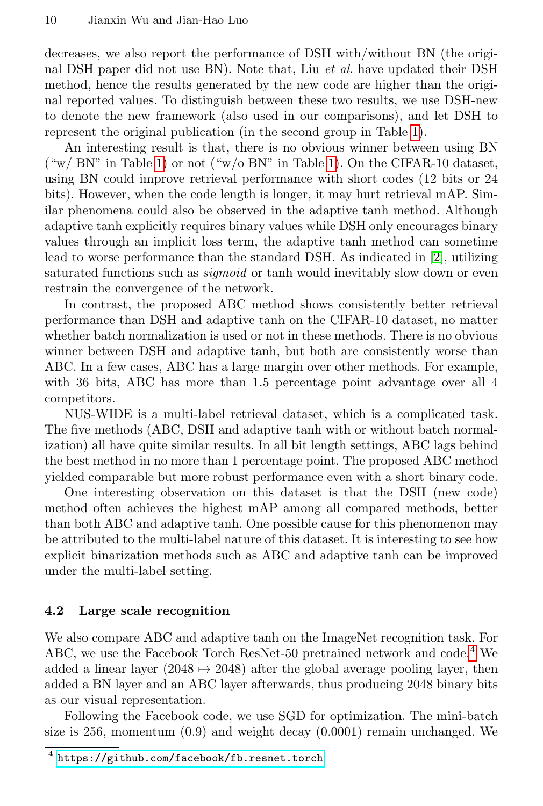decreases, we also report the performance of DSH with/without BN (the original DSH paper did not use BN). Note that, Liu et al. have updated their DSH method, hence the results generated by the new code are higher than the original reported values. To distinguish between these two results, we use DSH-new to denote the new framework (also used in our comparisons), and let DSH to represent the original publication (in the second group in Table [1\)](#page-8-0).

An interesting result is that, there is no obvious winner between using BN  $(\omega_{\rm w}/\rm\,BN"$  in Table [1\)](#page-8-0) or not  $(\omega_{\rm w}/\rm\,BN"$  in Table 1). On the CIFAR-10 dataset, using BN could improve retrieval performance with short codes (12 bits or 24 bits). However, when the code length is longer, it may hurt retrieval mAP. Similar phenomena could also be observed in the adaptive tanh method. Although adaptive tanh explicitly requires binary values while DSH only encourages binary values through an implicit loss term, the adaptive tanh method can sometime lead to worse performance than the standard DSH. As indicated in [\[2\]](#page-14-1), utilizing saturated functions such as *sigmoid* or tanh would inevitably slow down or even restrain the convergence of the network.

In contrast, the proposed ABC method shows consistently better retrieval performance than DSH and adaptive tanh on the CIFAR-10 dataset, no matter whether batch normalization is used or not in these methods. There is no obvious winner between DSH and adaptive tanh, but both are consistently worse than ABC. In a few cases, ABC has a large margin over other methods. For example, with 36 bits, ABC has more than 1.5 percentage point advantage over all 4 competitors.

NUS-WIDE is a multi-label retrieval dataset, which is a complicated task. The five methods (ABC, DSH and adaptive tanh with or without batch normalization) all have quite similar results. In all bit length settings, ABC lags behind the best method in no more than 1 percentage point. The proposed ABC method yielded comparable but more robust performance even with a short binary code.

One interesting observation on this dataset is that the DSH (new code) method often achieves the highest mAP among all compared methods, better than both ABC and adaptive tanh. One possible cause for this phenomenon may be attributed to the multi-label nature of this dataset. It is interesting to see how explicit binarization methods such as ABC and adaptive tanh can be improved under the multi-label setting.

### <span id="page-9-0"></span>4.2 Large scale recognition

We also compare ABC and adaptive tanh on the ImageNet recognition task. For ABC, we use the Facebook Torch ResNet-50 pretrained network and code.<sup>[4](#page-9-1)</sup> We added a linear layer (2048  $\rightarrow$  2048) after the global average pooling layer, then added a BN layer and an ABC layer afterwards, thus producing 2048 binary bits as our visual representation.

Following the Facebook code, we use SGD for optimization. The mini-batch size is 256, momentum  $(0.9)$  and weight decay  $(0.0001)$  remain unchanged. We

<span id="page-9-1"></span><sup>4</sup> <https://github.com/facebook/fb.resnet.torch>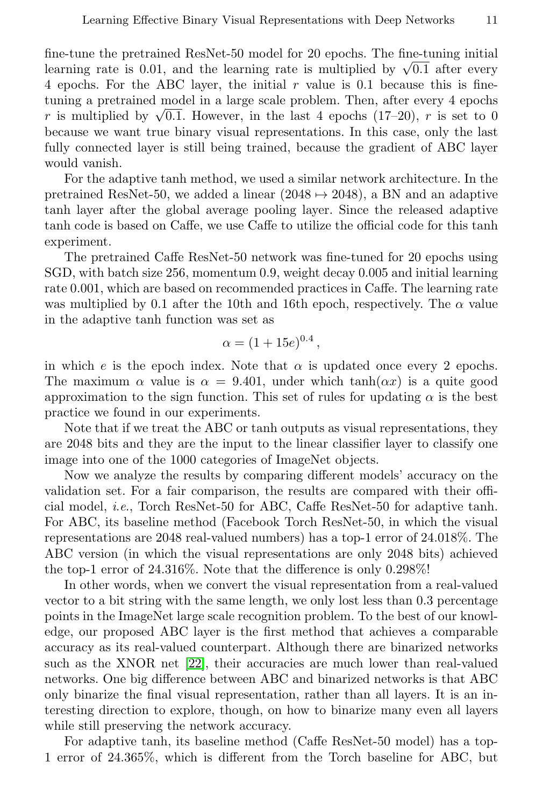fine-tune the pretrained ResNet-50 model for 20 epochs. The fine-tuning initial line-tune the pretrained Resivet-50 model for 20 epochs. The line-tuning initial learning rate is 0.01, and the learning rate is multiplied by  $\sqrt{0.1}$  after every 4 epochs. For the ABC layer, the initial  $r$  value is 0.1 because this is finetuning a pretrained model in a large scale problem. Then, after every 4 epochs tuning a pretrained model in a large scale problem. Then, after every 4 epochs  $r$  is multiplied by  $\sqrt{0.1}$ . However, in the last 4 epochs (17–20),  $r$  is set to 0 because we want true binary visual representations. In this case, only the last fully connected layer is still being trained, because the gradient of ABC layer would vanish.

For the adaptive tanh method, we used a similar network architecture. In the pretrained ResNet-50, we added a linear (2048  $\rightarrow$  2048), a BN and an adaptive tanh layer after the global average pooling layer. Since the released adaptive tanh code is based on Caffe, we use Caffe to utilize the official code for this tanh experiment.

The pretrained Caffe ResNet-50 network was fine-tuned for 20 epochs using SGD, with batch size 256, momentum 0.9, weight decay 0.005 and initial learning rate 0.001, which are based on recommended practices in Caffe. The learning rate was multiplied by 0.1 after the 10th and 16th epoch, respectively. The  $\alpha$  value in the adaptive tanh function was set as

$$
\alpha = (1 + 15e)^{0.4},
$$

in which e is the epoch index. Note that  $\alpha$  is updated once every 2 epochs. The maximum  $\alpha$  value is  $\alpha = 9.401$ , under which tanh( $\alpha x$ ) is a quite good approximation to the sign function. This set of rules for updating  $\alpha$  is the best practice we found in our experiments.

Note that if we treat the ABC or tanh outputs as visual representations, they are 2048 bits and they are the input to the linear classifier layer to classify one image into one of the 1000 categories of ImageNet objects.

Now we analyze the results by comparing different models' accuracy on the validation set. For a fair comparison, the results are compared with their official model, i.e., Torch ResNet-50 for ABC, Caffe ResNet-50 for adaptive tanh. For ABC, its baseline method (Facebook Torch ResNet-50, in which the visual representations are 2048 real-valued numbers) has a top-1 error of 24.018%. The ABC version (in which the visual representations are only 2048 bits) achieved the top-1 error of 24.316%. Note that the difference is only 0.298%!

In other words, when we convert the visual representation from a real-valued vector to a bit string with the same length, we only lost less than 0.3 percentage points in the ImageNet large scale recognition problem. To the best of our knowledge, our proposed ABC layer is the first method that achieves a comparable accuracy as its real-valued counterpart. Although there are binarized networks such as the XNOR net [\[22\]](#page-14-21), their accuracies are much lower than real-valued networks. One big difference between ABC and binarized networks is that ABC only binarize the final visual representation, rather than all layers. It is an interesting direction to explore, though, on how to binarize many even all layers while still preserving the network accuracy.

For adaptive tanh, its baseline method (Caffe ResNet-50 model) has a top-1 error of 24.365%, which is different from the Torch baseline for ABC, but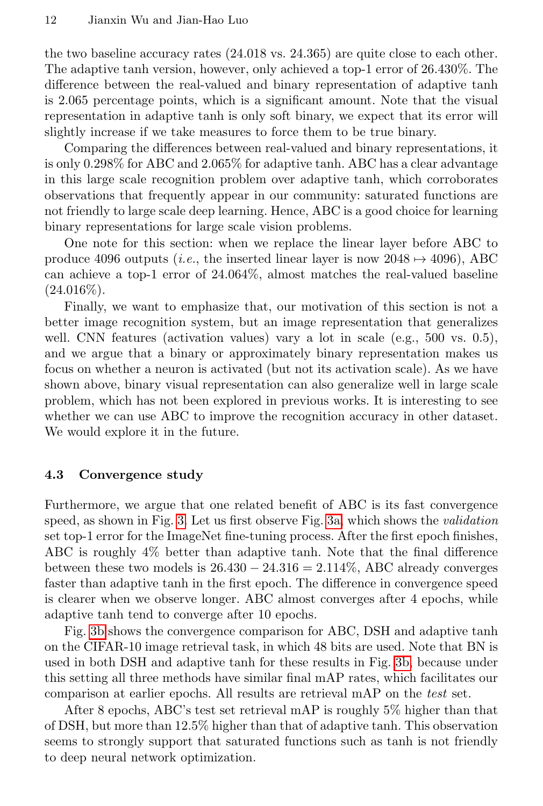the two baseline accuracy rates (24.018 vs. 24.365) are quite close to each other. The adaptive tanh version, however, only achieved a top-1 error of 26.430%. The difference between the real-valued and binary representation of adaptive tanh is 2.065 percentage points, which is a significant amount. Note that the visual representation in adaptive tanh is only soft binary, we expect that its error will slightly increase if we take measures to force them to be true binary.

Comparing the differences between real-valued and binary representations, it is only 0.298% for ABC and 2.065% for adaptive tanh. ABC has a clear advantage in this large scale recognition problem over adaptive tanh, which corroborates observations that frequently appear in our community: saturated functions are not friendly to large scale deep learning. Hence, ABC is a good choice for learning binary representations for large scale vision problems.

One note for this section: when we replace the linear layer before ABC to produce 4096 outputs (*i.e.*, the inserted linear layer is now  $2048 \rightarrow 4096$ ), ABC can achieve a top-1 error of 24.064%, almost matches the real-valued baseline  $(24.016\%).$ 

Finally, we want to emphasize that, our motivation of this section is not a better image recognition system, but an image representation that generalizes well. CNN features (activation values) vary a lot in scale (e.g., 500 vs. 0.5), and we argue that a binary or approximately binary representation makes us focus on whether a neuron is activated (but not its activation scale). As we have shown above, binary visual representation can also generalize well in large scale problem, which has not been explored in previous works. It is interesting to see whether we can use ABC to improve the recognition accuracy in other dataset. We would explore it in the future.

### <span id="page-11-0"></span>4.3 Convergence study

Furthermore, we argue that one related benefit of ABC is its fast convergence speed, as shown in Fig. [3.](#page-12-1) Let us first observe Fig. [3a,](#page-12-2) which shows the validation set top-1 error for the ImageNet fine-tuning process. After the first epoch finishes, ABC is roughly 4% better than adaptive tanh. Note that the final difference between these two models is  $26.430 - 24.316 = 2.114\%$ , ABC already converges faster than adaptive tanh in the first epoch. The difference in convergence speed is clearer when we observe longer. ABC almost converges after 4 epochs, while adaptive tanh tend to converge after 10 epochs.

Fig. [3b](#page-12-3) shows the convergence comparison for ABC, DSH and adaptive tanh on the CIFAR-10 image retrieval task, in which 48 bits are used. Note that BN is used in both DSH and adaptive tanh for these results in Fig. [3b,](#page-12-3) because under this setting all three methods have similar final mAP rates, which facilitates our comparison at earlier epochs. All results are retrieval mAP on the test set.

After 8 epochs, ABC's test set retrieval mAP is roughly 5% higher than that of DSH, but more than 12.5% higher than that of adaptive tanh. This observation seems to strongly support that saturated functions such as tanh is not friendly to deep neural network optimization.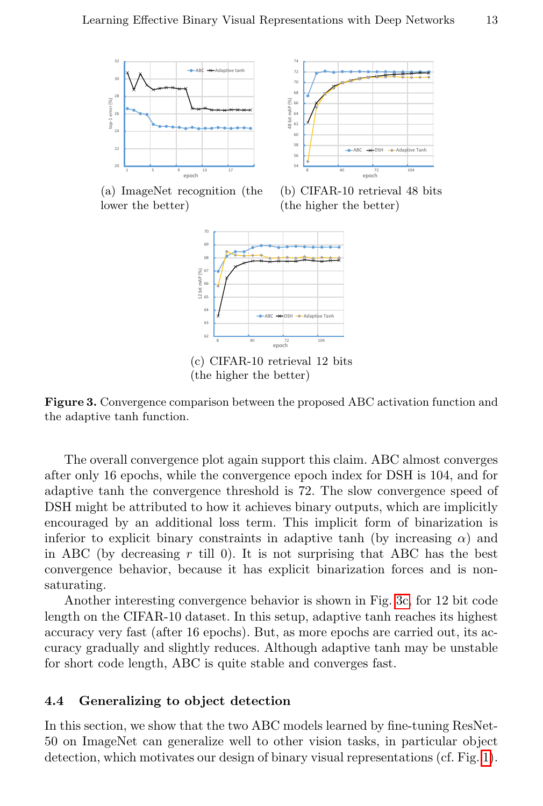<span id="page-12-2"></span>



<span id="page-12-4"></span>(a) ImageNet recognition (the lower the better)

<span id="page-12-3"></span>(b) CIFAR-10 retrieval 48 bits (the higher the better)



(c) CIFAR-10 retrieval 12 bits (the higher the better)

<span id="page-12-1"></span>Figure 3. Convergence comparison between the proposed ABC activation function and the adaptive tanh function.

The overall convergence plot again support this claim. ABC almost converges after only 16 epochs, while the convergence epoch index for DSH is 104, and for adaptive tanh the convergence threshold is 72. The slow convergence speed of DSH might be attributed to how it achieves binary outputs, which are implicitly encouraged by an additional loss term. This implicit form of binarization is inferior to explicit binary constraints in adaptive tanh (by increasing  $\alpha$ ) and in ABC (by decreasing  $r$  till 0). It is not surprising that ABC has the best convergence behavior, because it has explicit binarization forces and is nonsaturating.

Another interesting convergence behavior is shown in Fig. [3c,](#page-12-4) for 12 bit code length on the CIFAR-10 dataset. In this setup, adaptive tanh reaches its highest accuracy very fast (after 16 epochs). But, as more epochs are carried out, its accuracy gradually and slightly reduces. Although adaptive tanh may be unstable for short code length, ABC is quite stable and converges fast.

#### <span id="page-12-0"></span>4.4 Generalizing to object detection

In this section, we show that the two ABC models learned by fine-tuning ResNet-50 on ImageNet can generalize well to other vision tasks, in particular object detection, which motivates our design of binary visual representations (cf. Fig. [1\)](#page-1-0).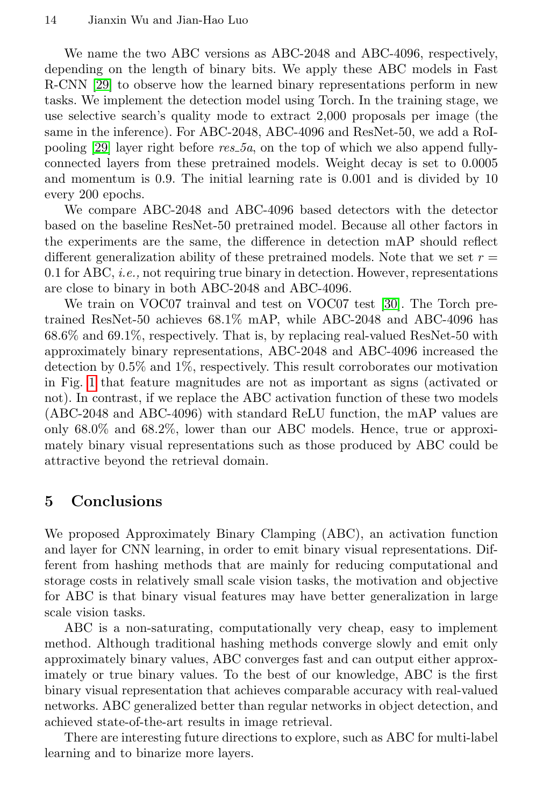We name the two ABC versions as ABC-2048 and ABC-4096, respectively, depending on the length of binary bits. We apply these ABC models in Fast R-CNN [\[29\]](#page-15-3) to observe how the learned binary representations perform in new tasks. We implement the detection model using Torch. In the training stage, we use selective search's quality mode to extract 2,000 proposals per image (the same in the inference). For ABC-2048, ABC-4096 and ResNet-50, we add a RoI-pooling [\[29\]](#page-15-3) layer right before  $res_5a$ , on the top of which we also append fullyconnected layers from these pretrained models. Weight decay is set to 0.0005 and momentum is 0.9. The initial learning rate is 0.001 and is divided by 10 every 200 epochs.

We compare ABC-2048 and ABC-4096 based detectors with the detector based on the baseline ResNet-50 pretrained model. Because all other factors in the experiments are the same, the difference in detection mAP should reflect different generalization ability of these pretrained models. Note that we set  $r =$ 0.1 for ABC, *i.e.*, not requiring true binary in detection. However, representations are close to binary in both ABC-2048 and ABC-4096.

We train on VOC07 trainval and test on VOC07 test [\[30\]](#page-15-4). The Torch pretrained ResNet-50 achieves 68.1% mAP, while ABC-2048 and ABC-4096 has 68.6% and 69.1%, respectively. That is, by replacing real-valued ResNet-50 with approximately binary representations, ABC-2048 and ABC-4096 increased the detection by 0.5% and 1%, respectively. This result corroborates our motivation in Fig. [1](#page-1-0) that feature magnitudes are not as important as signs (activated or not). In contrast, if we replace the ABC activation function of these two models (ABC-2048 and ABC-4096) with standard ReLU function, the mAP values are only 68.0% and 68.2%, lower than our ABC models. Hence, true or approximately binary visual representations such as those produced by ABC could be attractive beyond the retrieval domain.

# 5 Conclusions

We proposed Approximately Binary Clamping (ABC), an activation function and layer for CNN learning, in order to emit binary visual representations. Different from hashing methods that are mainly for reducing computational and storage costs in relatively small scale vision tasks, the motivation and objective for ABC is that binary visual features may have better generalization in large scale vision tasks.

ABC is a non-saturating, computationally very cheap, easy to implement method. Although traditional hashing methods converge slowly and emit only approximately binary values, ABC converges fast and can output either approximately or true binary values. To the best of our knowledge, ABC is the first binary visual representation that achieves comparable accuracy with real-valued networks. ABC generalized better than regular networks in object detection, and achieved state-of-the-art results in image retrieval.

There are interesting future directions to explore, such as ABC for multi-label learning and to binarize more layers.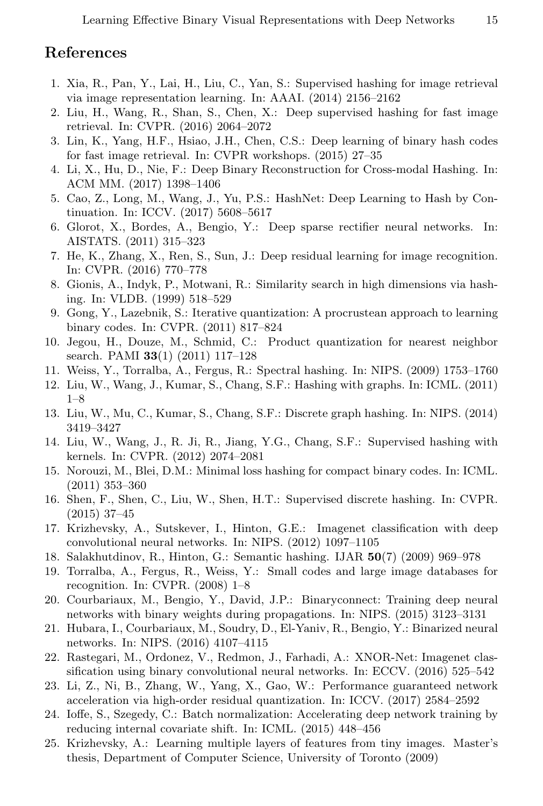# References

- <span id="page-14-0"></span>1. Xia, R., Pan, Y., Lai, H., Liu, C., Yan, S.: Supervised hashing for image retrieval via image representation learning. In: AAAI. (2014) 2156–2162
- <span id="page-14-1"></span>2. Liu, H., Wang, R., Shan, S., Chen, X.: Deep supervised hashing for fast image retrieval. In: CVPR. (2016) 2064–2072
- <span id="page-14-2"></span>3. Lin, K., Yang, H.F., Hsiao, J.H., Chen, C.S.: Deep learning of binary hash codes for fast image retrieval. In: CVPR workshops. (2015) 27–35
- <span id="page-14-3"></span>4. Li, X., Hu, D., Nie, F.: Deep Binary Reconstruction for Cross-modal Hashing. In: ACM MM. (2017) 1398–1406
- <span id="page-14-4"></span>5. Cao, Z., Long, M., Wang, J., Yu, P.S.: HashNet: Deep Learning to Hash by Continuation. In: ICCV. (2017) 5608–5617
- <span id="page-14-5"></span>6. Glorot, X., Bordes, A., Bengio, Y.: Deep sparse rectifier neural networks. In: AISTATS. (2011) 315–323
- <span id="page-14-6"></span>7. He, K., Zhang, X., Ren, S., Sun, J.: Deep residual learning for image recognition. In: CVPR. (2016) 770–778
- <span id="page-14-7"></span>8. Gionis, A., Indyk, P., Motwani, R.: Similarity search in high dimensions via hashing. In: VLDB. (1999) 518–529
- <span id="page-14-8"></span>9. Gong, Y., Lazebnik, S.: Iterative quantization: A procrustean approach to learning binary codes. In: CVPR. (2011) 817–824
- <span id="page-14-9"></span>10. Jegou, H., Douze, M., Schmid, C.: Product quantization for nearest neighbor search. PAMI 33(1) (2011) 117-128
- <span id="page-14-10"></span>11. Weiss, Y., Torralba, A., Fergus, R.: Spectral hashing. In: NIPS. (2009) 1753–1760
- <span id="page-14-11"></span>12. Liu, W., Wang, J., Kumar, S., Chang, S.F.: Hashing with graphs. In: ICML. (2011) 1–8
- <span id="page-14-12"></span>13. Liu, W., Mu, C., Kumar, S., Chang, S.F.: Discrete graph hashing. In: NIPS. (2014) 3419–3427
- <span id="page-14-13"></span>14. Liu, W., Wang, J., R. Ji, R., Jiang, Y.G., Chang, S.F.: Supervised hashing with kernels. In: CVPR. (2012) 2074–2081
- <span id="page-14-14"></span>15. Norouzi, M., Blei, D.M.: Minimal loss hashing for compact binary codes. In: ICML. (2011) 353–360
- <span id="page-14-15"></span>16. Shen, F., Shen, C., Liu, W., Shen, H.T.: Supervised discrete hashing. In: CVPR. (2015) 37–45
- <span id="page-14-16"></span>17. Krizhevsky, A., Sutskever, I., Hinton, G.E.: Imagenet classification with deep convolutional neural networks. In: NIPS. (2012) 1097–1105
- <span id="page-14-17"></span>18. Salakhutdinov, R., Hinton, G.: Semantic hashing. IJAR 50(7) (2009) 969–978
- <span id="page-14-18"></span>19. Torralba, A., Fergus, R., Weiss, Y.: Small codes and large image databases for recognition. In: CVPR. (2008) 1–8
- <span id="page-14-19"></span>20. Courbariaux, M., Bengio, Y., David, J.P.: Binaryconnect: Training deep neural networks with binary weights during propagations. In: NIPS. (2015) 3123–3131
- <span id="page-14-20"></span>21. Hubara, I., Courbariaux, M., Soudry, D., El-Yaniv, R., Bengio, Y.: Binarized neural networks. In: NIPS. (2016) 4107–4115
- <span id="page-14-21"></span>22. Rastegari, M., Ordonez, V., Redmon, J., Farhadi, A.: XNOR-Net: Imagenet classification using binary convolutional neural networks. In: ECCV. (2016) 525–542
- <span id="page-14-22"></span>23. Li, Z., Ni, B., Zhang, W., Yang, X., Gao, W.: Performance guaranteed network acceleration via high-order residual quantization. In: ICCV. (2017) 2584–2592
- <span id="page-14-23"></span>24. Ioffe, S., Szegedy, C.: Batch normalization: Accelerating deep network training by reducing internal covariate shift. In: ICML. (2015) 448–456
- <span id="page-14-24"></span>25. Krizhevsky, A.: Learning multiple layers of features from tiny images. Master's thesis, Department of Computer Science, University of Toronto (2009)